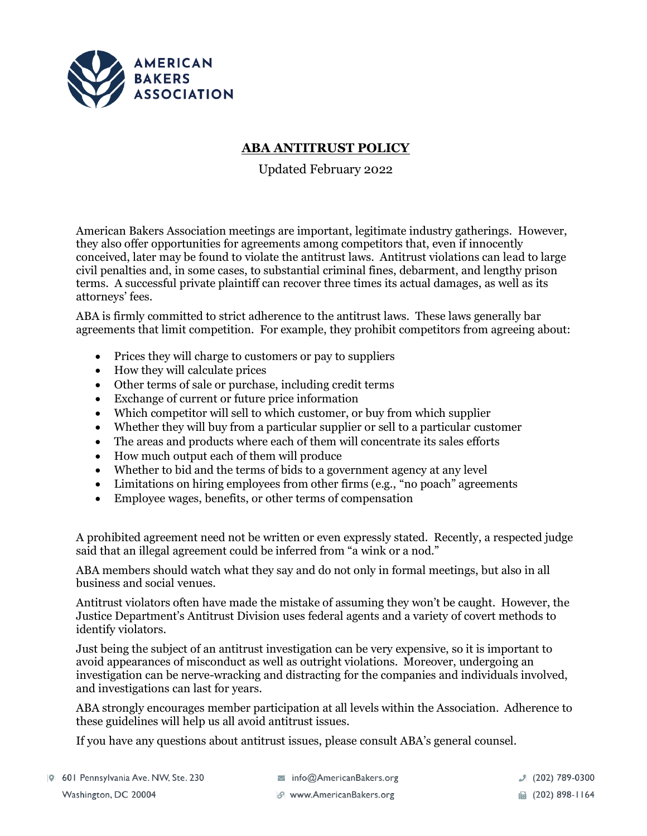

## **ABA ANTITRUST POLICY**

Updated February 2022

American Bakers Association meetings are important, legitimate industry gatherings. However, they also offer opportunities for agreements among competitors that, even if innocently conceived, later may be found to violate the antitrust laws. Antitrust violations can lead to large civil penalties and, in some cases, to substantial criminal fines, debarment, and lengthy prison terms. A successful private plaintiff can recover three times its actual damages, as well as its attorneys' fees.

ABA is firmly committed to strict adherence to the antitrust laws. These laws generally bar agreements that limit competition. For example, they prohibit competitors from agreeing about:

- Prices they will charge to customers or pay to suppliers
- How they will calculate prices
- Other terms of sale or purchase, including credit terms
- Exchange of current or future price information
- Which competitor will sell to which customer, or buy from which supplier
- Whether they will buy from a particular supplier or sell to a particular customer
- The areas and products where each of them will concentrate its sales efforts
- How much output each of them will produce
- Whether to bid and the terms of bids to a government agency at any level
- Limitations on hiring employees from other firms (e.g., "no poach" agreements
- Employee wages, benefits, or other terms of compensation

A prohibited agreement need not be written or even expressly stated. Recently, a respected judge said that an illegal agreement could be inferred from "a wink or a nod."

ABA members should watch what they say and do not only in formal meetings, but also in all business and social venues.

Antitrust violators often have made the mistake of assuming they won't be caught. However, the Justice Department's Antitrust Division uses federal agents and a variety of covert methods to identify violators.

Just being the subject of an antitrust investigation can be very expensive, so it is important to avoid appearances of misconduct as well as outright violations. Moreover, undergoing an investigation can be nerve-wracking and distracting for the companies and individuals involved, and investigations can last for years.

ABA strongly encourages member participation at all levels within the Association. Adherence to these guidelines will help us all avoid antitrust issues.

If you have any questions about antitrust issues, please consult ABA's general counsel.